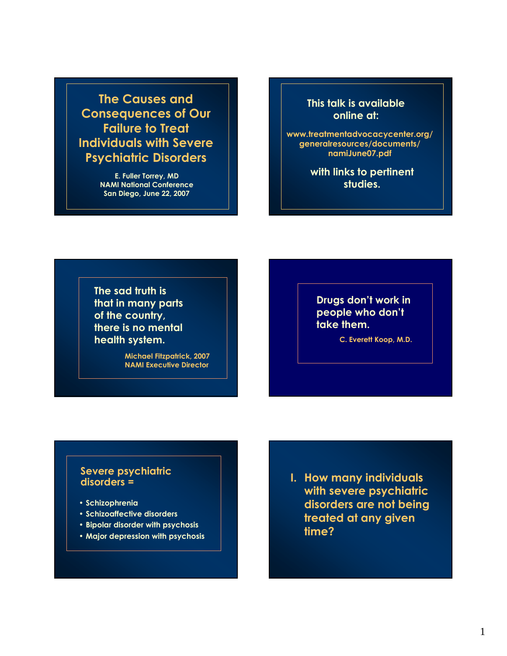**The Causes and Consequences of Our Failure to Treat Individuals with Severe Psychiatric Disorders**

> **E. Fuller Torrey, MD NAMI National Conference San Diego, June 22, 2007**

**This talk is available online at:**

**www.treatmentadvocacycenter.org/ generalresources/documents/ namiJune07.pdf**

> **with links to pertinent studies.**

**The sad truth is that in many parts of the country, there is no mental health system.**

> **Michael Fitzpatrick, 2007 NAMI Executive Director**

**Drugs don't work in people who don't take them.**

**C. Everett Koop, M.D.**

### **Severe psychiatric disorders =**

- **Schizophrenia**
- **Schizoaffective disorders**
- **Bipolar disorder with psychosis**
- **Major depression with psychosis**

### **I. How many individuals with severe psychiatric disorders are not being treated at any given time?**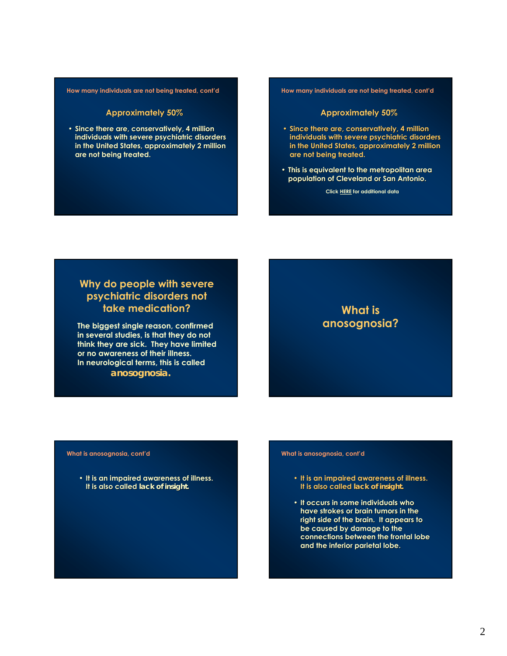#### **How many individuals are not being treated, cont'd**

#### **Approximately 50%**

• Since there are, conservatively, 4 million **individuals with severe psychiatric disorders psychiatric disorders in the United States, approximately 2 million in the United States, approximately 2 million are not being treated. are not being treated.**

**How many individuals are not being treated, cont'd**

#### **Approximately 50%**

- Since there are, conservatively, 4 million **individuals with severe psychiatric disorders psychiatric disorders in the United States, approximately 2 million in the United States, approximately 2 million are not being treated. are not being treated.**
- **This is equivalent to the metropolitan area This is equivalent to the metropolitan area population of Cleveland or San Antonio. population of Cleveland or San Antonio.**

**Click [HERE](http://www.psychlaws.org/BriefingPapers/BP13.htm) for additional data**

### **Why do people with severe psychiatric disorders not take medication?**

**The biggest single reason, confirmed in several studies, is that they do not think they are sick. They have limited or no awareness of their illness. In neurological terms, this is called** *anosognosia.*

### **What is anosognosia?**

**What is anosognosia, cont'd**

• It is an impaired awareness of illness. **It is also called** *lack of insight.* 

#### **What is anosognosia, cont'd**

- **It is an impaired awareness of illness. It is an impaired awareness of illness. It is also called** *lack of insight.*
- **It occurs in some individuals who have strokes or brain tumors in the have strokes or brain tumors in the right side of the brain. It appears to right side of the brain. It appears to be caused by damage to the caused by damage to connections between the frontal lobe connections between the frontal lobe and the inferior parietal lobe. and the inferior parietal lobe.**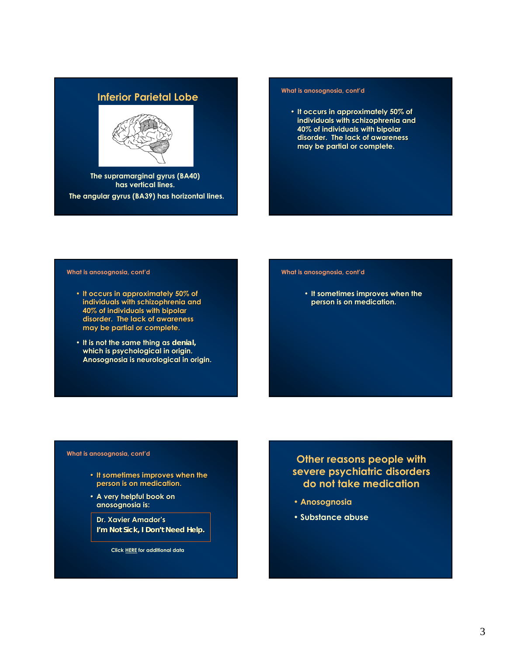# **Inferior Parietal Lobe Manufacture is anosognosia, cont'd**



**The supramarginal gyrus (BA40) has vertical lines. The angular gyrus (BA39) has horizontal lines.**

• **It occurs in approximately 50% of It occurs in approximately 50% of individuals with schizophrenia and individuals with schizophrenia and 40% of individuals with bipolar 40% of individuals with bipolar**  disorder. The lack of awareness **may be partial or complete. may be partial or complete.**

#### **What is anosognosia, cont'd**

- **It occurs in approximately 50% of It occurs in approximately 50% of individuals with schizophrenia and individuals with schizophrenia and 40% of individuals with bipolar 40% of individuals with bipolar**  disorder. The lack of awareness **may be partial or complete. may be partial or complete.**
- It is not the same thing as *denial*, which is psychological in origin. **Anosognosia is neurological in origin. Anosognosia is neurological in origin.**

#### **What is anosognosia, cont'd**

• It sometimes improves when the **person is on medication. person is on medication.**

#### **What is anosognosia, cont'd**

- **It sometimes improves when the person is on medication. medication.**
- **A very helpful book on anosognosia is: anosognosia is:**

**Dr. Xavier Amador Dr. Xavier Amador's** *I'm Not Sick, I Don't Need Help.* 

**Click [HERE](http://www.psychlaws.org/BriefingPapers/BP14.htm) for additional data**

### **Other reasons people with severe psychiatric disorders do not take medication**

- **Anosognosia**
- **Substance abuse**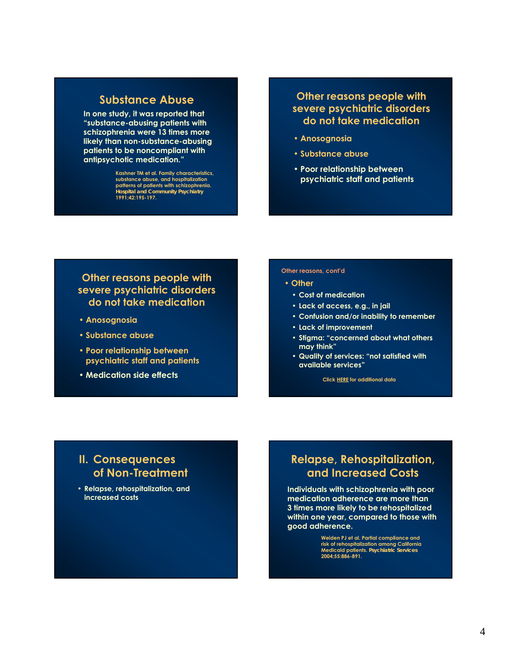### **Substance Abuse**

**In one study, it was reported that "substance-abusing patients with schizophrenia were 13 times more likely than non-substance-abusing patients to be noncompliant with antipsychotic medication."**

> **Kashner TM et al. Family characteristics, substance abuse, and hospitalization patterns of patients with schizophrenia.**  *Hospital and Community Psychiatry*  **1991;42:195-197.**

### **Other reasons people with severe psychiatric disorders do not take medication**

- **Anosognosia**
- **Substance abuse**
- **Poor relationship between psychiatric staff and patients**

### **Other reasons people with severe psychiatric disorders do not take medication**

- **Anosognosia**
- **Substance abuse**
- **Poor relationship between psychiatric staff and patients**
- **Medication side effects**

#### **Other reasons, cont'd**

#### • **Other**

- **Cost of medication**
- **Lack of access, e.g., in jail**
- **Confusion and/or inability to remember**
- **Lack of improvement**
- **Stigma: "concerned about what others may think"**
- **Quality of services: "not satisfied with available services"**

**Click [HERE](http://www.psychlaws.org/BriefingPapers/BP15.htm) for additional data**

### **II. Consequences of Non-Treatment**

• **Relapse, rehospitalization, and increased costs**

## **Relapse, Rehospitalization, and Increased Costs**

**Individuals with schizophrenia with poor medication adherence are more than 3 times more likely to be rehospitalized within one year, compared to those with good adherence.**

> **Weiden PJ et al. Partial compliance and risk of rehospitalization among California Medicaid patients.** *Psychiatric Services*  **2004;55:886-891.**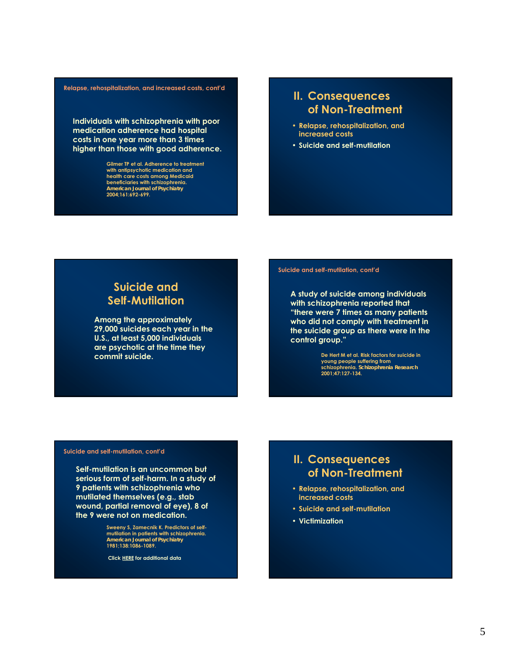#### **Relapse, rehospitalization, and increased costs, cont'd**

**Individuals with schizophrenia with poor medication adherence had hospital costs in one year more than 3 times higher than those with good adherence.**

> **Gilmer TP et al. Adherence to treatment with antipsychotic medication and health care costs among Medicaid beneficiaries with schizophrenia.**  *American Journal of Psychiatry*  **2004;161:692-699.**

### **II. Consequences of Non-Treatment**

- **Relapse, rehospitalization, and increased costs**
- **Suicide and self-mutilation**

## **Suicide and Self-Mutilation**

**Among the approximately 29,000 suicides each year in the U.S., at least 5,000 individuals are psychotic at the time they commit suicide.**

#### **Suicide and self-mutilation, cont'd**

**A study of suicide among individuals with schizophrenia reported that "there were 7 times as many patients who did not comply with treatment in the suicide group as there were in the control group."**

**De Hert M et al. Risk factors for suicide in young people suffering from schizophrenia.** *Schizophrenia Research*  **2001;47:127-134.**

#### **Suicide and self-mutilation, cont'd**

**Self-mutilation is an uncommon but serious form of self-harm. In a study of 9 patients with schizophrenia who mutilated themselves (e.g., stab wound, partial removal of eye), 8 of the 9 were not on medication.**

> **Sweeny S, Zamecnik K. Predictors of selfmutilation in patients with schizophrenia.**  *American Journal of Psychiatry*  **1981;138:1086-1089.**

**Clic[k HERE](http://www.psychlaws.org/BriefingPapers/BP6.htm) for additional data**

### **II. Consequences of Non-Treatment**

- **Relapse, rehospitalization, and increased costs**
- **Suicide and self-mutilation**
- **Victimization**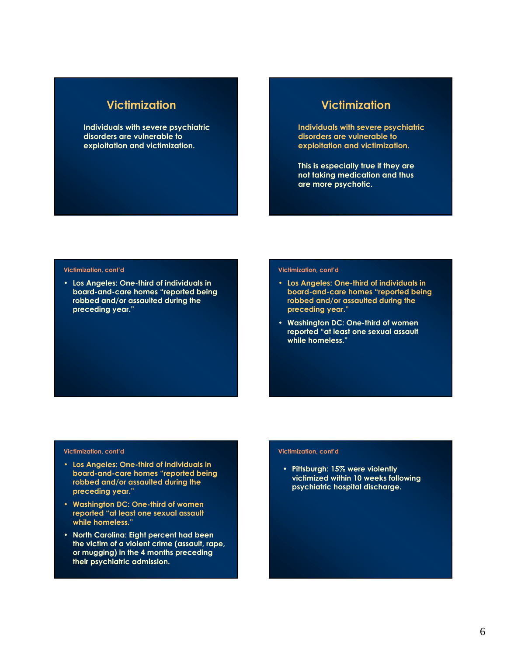### **Victimization**

**Individuals with severe psychiatric disorders are vulnerable to exploitation and victimization.**

### **Victimization**

**Individuals with severe psychiatric disorders are vulnerable to exploitation and victimization.**

**This is especially true if they are not taking medication and thus are more psychotic.**

#### **Victimization, cont'd**

• **Los Angeles: One-third of individuals in board-and-care homes "reported being robbed and/or assaulted during the preceding year."**

#### **Victimization, cont'd**

- **Los Angeles: One-third of individuals in board-and-care homes "reported being robbed and/or assaulted during the preceding year."**
- **Washington DC: One-third of women reported "at least one sexual assault while homeless."**

#### **Victimization, cont'd**

- **Los Angeles: One-third of individuals in board-and-care homes "reported being robbed and/or assaulted during the preceding year."**
- **Washington DC: One-third of women reported "at least one sexual assault while homeless."**
- **North Carolina: Eight percent had been the victim of a violent crime (assault, rape, or mugging) in the 4 months preceding their psychiatric admission.**

#### **Victimization, cont'd**

• **Pittsburgh: 15% were violently victimized within 10 weeks following psychiatric hospital discharge.**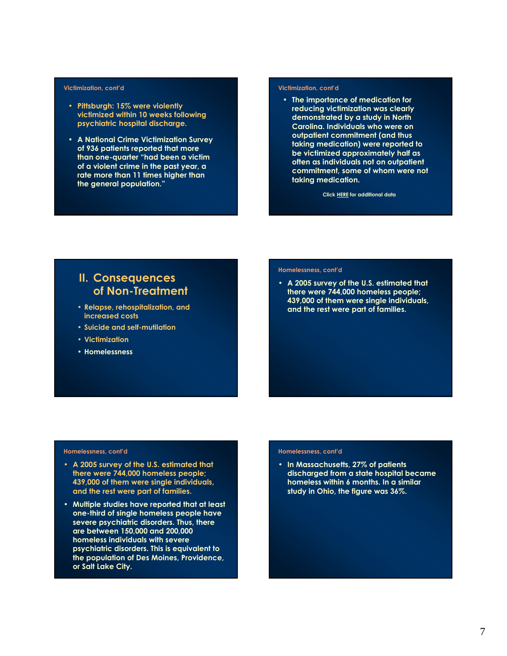#### **Victimization, cont'd**

- **Pittsburgh: 15% were violently victimized within 10 weeks following psychiatric hospital discharge.**
- **A National Crime Victimization Survey of 936 patients reported that more than one-quarter "had been a victim of a violent crime in the past year, a rate more than 11 times higher than the general population."**

#### **Victimization, cont'd**

• **The importance of medication for reducing victimization was clearly demonstrated by a study in North Carolina. Individuals who were on outpatient commitment (and thus taking medication) were reported to be victimized approximately half as often as individuals not on outpatient commitment, some of whom were not taking medication.**

**Clic[k HERE](http://www.psychlaws.org/BriefingPapers/BP5.htm) for additional data**

### **II. Consequences of Non-Treatment**

- **Relapse, rehospitalization, and increased costs**
- **Suicide and self-mutilation**
- **Victimization**
- **Homelessness**

#### **Homelessness, cont'd**

• **A 2005 survey of the U.S. estimated that there were 744,000 homeless people; 439,000 of them were single individuals, and the rest were part of families.**

#### **Homelessness, cont'd**

- **A 2005 survey of the U.S. estimated that there were 744,000 homeless people; 439,000 of them were single individuals, and the rest were part of families.**
- **Multiple studies have reported that at least one-third of single homeless people have severe psychiatric disorders. Thus, there are between 150,000 and 200,000 homeless individuals with severe psychiatric disorders. This is equivalent to the population of Des Moines, Providence, or Salt Lake City.**

#### **Homelessness, cont'd**

• **In Massachusetts, 27% of patients discharged from a state hospital became homeless within 6 months. In a similar study in Ohio, the figure was 36%.**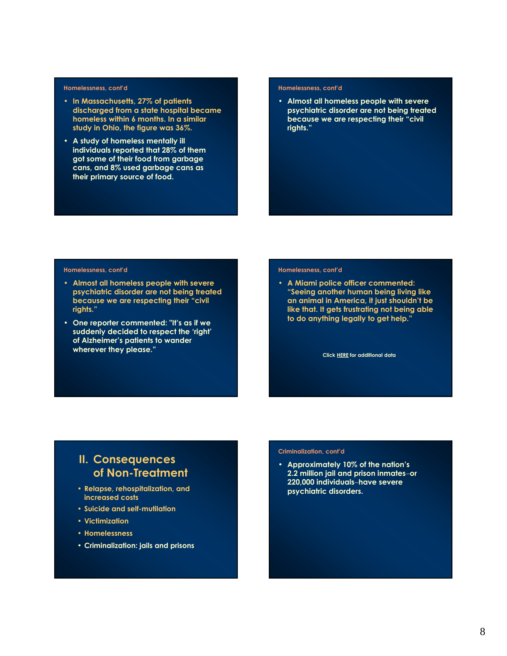#### **Homelessness, cont'd**

- **In Massachusetts, 27% of patients discharged from a state hospital became homeless within 6 months. In a similar study in Ohio, the figure was 36%.**
- **A study of homeless mentally ill individuals reported that 28% of them got some of their food from garbage cans, and 8% used garbage cans as their primary source of food.**

#### **Homelessness, cont'd**

• **Almost all homeless people with severe psychiatric disorder are not being treated because we are respecting their "civil rights."**

#### **Homelessness, cont'd**

- **Almost all homeless people with severe psychiatric disorder are not being treated because we are respecting their "civil rights."**
- **One reporter commented: "It's as if we suddenly decided to respect the 'right' of Alzheimer's patients to wander wherever they please."**

#### **Homelessness, cont'd**

• **A Miami police officer commented: "Seeing another human being living like an animal in America, it just shouldn't be like that. It gets frustrating not being able to do anything legally to get help."**

**Click [HERE](http://www.psychlaws.org/GeneralResources/fact11.htm) for additional data**

### **II. Consequences of Non-Treatment**

- **Relapse, rehospitalization, and increased costs**
- **Suicide and self-mutilation**
- **Victimization**
- **Homelessness**
- **Criminalization: jails and prisons**

#### **Criminalization, cont'd**

• **Approximately 10% of the nation's 2.2 million jail and prison inmates**−**or 220,000 individuals**−**have severe psychiatric disorders.**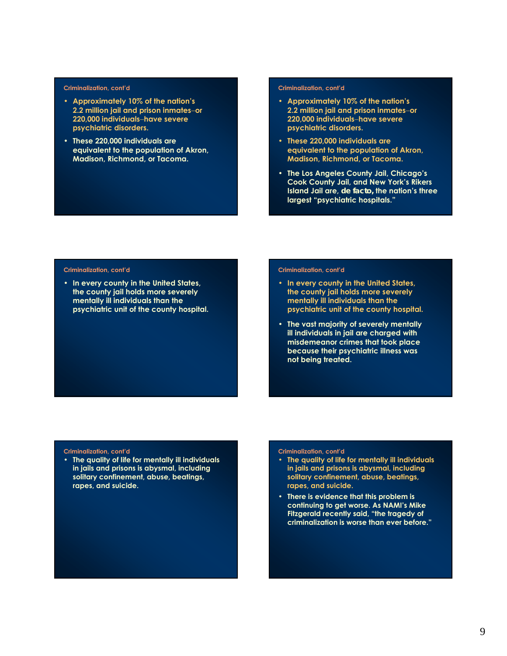#### **Criminalization, cont'd**

- **Approximately 10% of the nation's 2.2 million jail and prison inmates**−**or 220,000 individuals**−**have severe psychiatric disorders.**
- **These 220,000 individuals are equivalent to the population of Akron, Madison, Richmond, or Tacoma.**

#### **Criminalization, cont'd**

- **Approximately 10% of the nation's 2.2 million jail and prison inmates**−**or 220,000 individuals**−**have severe psychiatric disorders.**
- **These 220,000 individuals are equivalent to the population of Akron, Madison, Richmond, or Tacoma.**
- **The Los Angeles County Jail, Chicago's Cook County Jail, and New York's Rikers Island Jail are,** *de facto,* **the nation's three largest "psychiatric hospitals."**

#### **Criminalization, cont'd**

• **In every county in the United States, the county jail holds more severely mentally ill individuals than the psychiatric unit of the county hospital.**

#### **Criminalization, cont'd**

- **In every county in the United States, the county jail holds more severely mentally ill individuals than the psychiatric unit of the county hospital.**
- **The vast majority of severely mentally ill individuals in jail are charged with misdemeanor crimes that took place because their psychiatric illness was not being treated.**

#### **Criminalization, cont'd**

• **The quality of life for mentally ill individuals in jails and prisons is abysmal, including solitary confinement, abuse, beatings, rapes, and suicide.**

#### **Criminalization, cont'd**

- **The quality of life for mentally ill individuals in jails and prisons is abysmal, including solitary confinement, abuse, beatings, rapes, and suicide.**
- **There is evidence that this problem is continuing to get worse. As NAMI's Mike Fitzgerald recently said, "the tragedy of criminalization is worse than ever before."**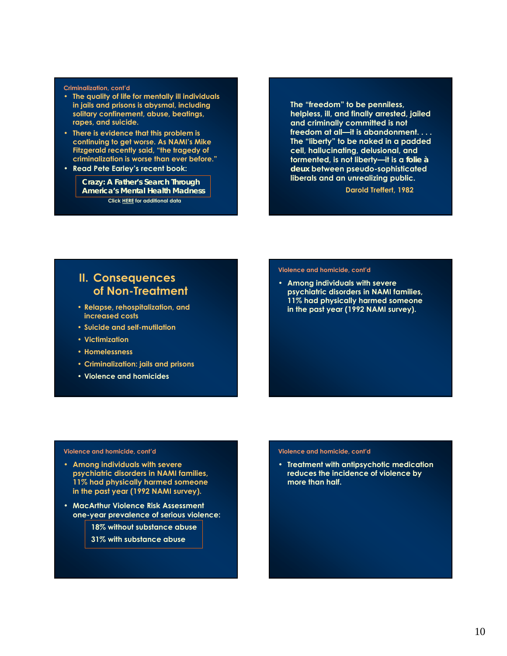#### **Criminalization, cont'd**

- **The quality of life for mentally ill individuals in jails and prisons is abysmal, including solitary confinement, abuse, beatings, rapes, and suicide.**
- **There is evidence that this problem is continuing to get worse. As NAMI's Mike Fitzgerald recently said, "the tragedy of criminalization is worse than ever before."**
- **Read Pete Earley's recent book:**

*Crazy: A Father's Search Through America's Mental Health Madness* **Clic[k HERE](http://www.psychlaws.org/GeneralResources/Fact3.htm) for additional data**

**The "freedom" to be penniless, helpless, ill, and finally arrested, jailed and criminally committed is not freedom at all—it is abandonment. . . . The "liberty" to be naked in a padded cell, hallucinating, delusional, and tormented, is not liberty—it is a** *folie à deux* **between pseudo-sophisticated liberals and an unrealizing public.**

**Darold Treffert, 1982**

### **II. Consequences of Non-Treatment**

- **Relapse, rehospitalization, and increased costs**
- **Suicide and self-mutilation**
- **Victimization**
- **Homelessness**
- **Criminalization: jails and prisons**
- **Violence and homicides**

#### **Violence and homicide, cont'd**

• **Among individuals with severe psychiatric disorders in NAMI families, 11% had physically harmed someone in the past year (1992 NAMI survey).**

#### **Violence and homicide, cont'd**

- **Among individuals with severe psychiatric disorders in NAMI families, 11% had physically harmed someone in the past year (1992 NAMI survey).**
- **MacArthur Violence Risk Assessment one-year prevalence of serious violence:**

**18% without substance abuse**

**31% with substance abuse**

#### **Violence and homicide, cont'd**

• **Treatment with antipsychotic medication reduces the incidence of violence by more than half.**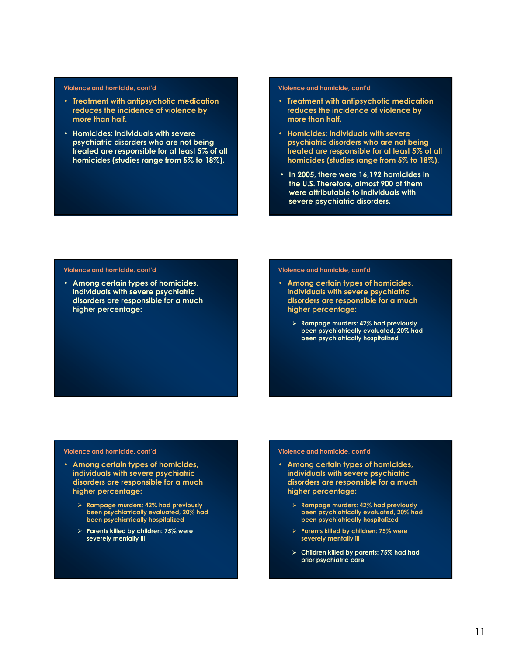#### **Violence and homicide, cont'd**

- **Treatment with antipsychotic medication reduces the incidence of violence by more than half.**
- **Homicides: individuals with severe psychiatric disorders who are not being treated are responsible for at least 5% of all homicides (studies range from 5% to 18%).**

#### **Violence and homicide, cont'd**

- **Treatment with antipsychotic medication reduces the incidence of violence by more than half.**
- **Homicides: individuals with severe psychiatric disorders who are not being treated are responsible for at least 5% of all homicides (studies range from 5% to 18%).**
- **In 2005, there were 16,192 homicides in the U.S. Therefore, almost 900 of them were attributable to individuals with severe psychiatric disorders.**

#### **Violence and homicide, cont'd**

• **Among certain types of homicides, individuals with severe psychiatric disorders are responsible for a much higher percentage:**

#### **Violence and homicide, cont'd**

- **Among certain types of homicides, individuals with severe psychiatric disorders are responsible for a much higher percentage:**
	- ¾ **Rampage murders: 42% had previously been psychiatrically evaluated, 20% had been psychiatrically hospitalized**

#### **Violence and homicide, cont'd**

- **Among certain types of homicides, individuals with severe psychiatric disorders are responsible for a much higher percentage:**
	- ¾ **Rampage murders: 42% had previously been psychiatrically evaluated, 20% had been psychiatrically hospitalized**
	- ¾ **Parents killed by children: 75% were severely mentally ill**

#### **Violence and homicide, cont'd**

- **Among certain types of homicides, individuals with severe psychiatric disorders are responsible for a much higher percentage:**
	- ¾ **Rampage murders: 42% had previously been psychiatrically evaluated, 20% had been psychiatrically hospitalized**
	- ¾ **Parents killed by children: 75% were severely mentally ill**
	- ¾ **Children killed by parents: 75% had had prior psychiatric care**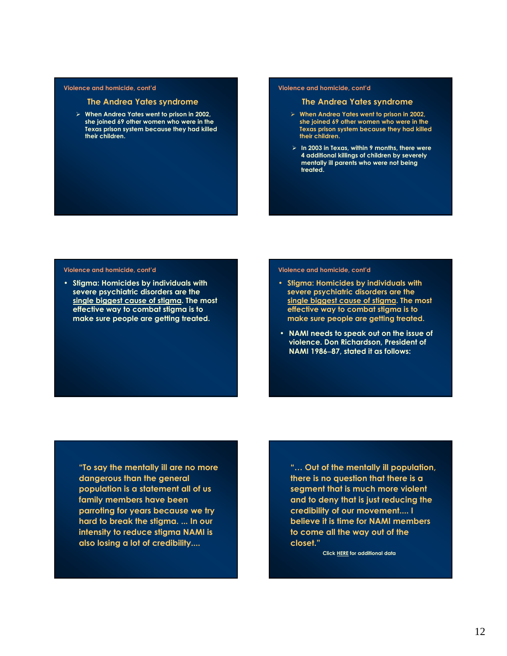#### **Violence and homicide, cont'd**

#### **The Andrea Yates syndrome**

¾ **When Andrea Yates went to prison in 2002, she joined 69 other women who were in the Texas prison system because they had killed their children.**

#### **Violence and homicide, cont'd**

#### **The Andrea Yates syndrome**

- ¾ **When Andrea Yates went to prison in 2002, she joined 69 other women who were in the Texas prison system because they had killed their children.**
- ¾ **In 2003 in Texas, within 9 months, there were 4 additional killings of children by severely mentally ill parents who were not being treated.**

#### **Violence and homicide, cont'd**

• **Stigma: Homicides by individuals with severe psychiatric disorders are the single biggest cause of stigma. The most effective way to combat stigma is to make sure people are getting treated.**

#### **Violence and homicide, cont'd**

- **Stigma: Homicides by individuals with severe psychiatric disorders are the single biggest cause of stigma. The most effective way to combat stigma is to make sure people are getting treated.**
- **NAMI needs to speak out on the issue of violence. Don Richardson, President of NAMI 1986**−**87, stated it as follows:**

**"To say the mentally ill are no more dangerous than the general population is a statement all of us family members have been parroting for years because we try hard to break the stigma. ... In our intensity to reduce stigma NAMI is also losing a lot of credibility....** 

**"… Out of the mentally ill population, there is no question that there is a segment that is much more violent and to deny that is just reducing the credibility of our movement.... I believe it is time for NAMI members to come all the way out of the closet."**

**Click [HERE](http://www.psychlaws.org/BriefingPapers/BP8.htm) for additional data**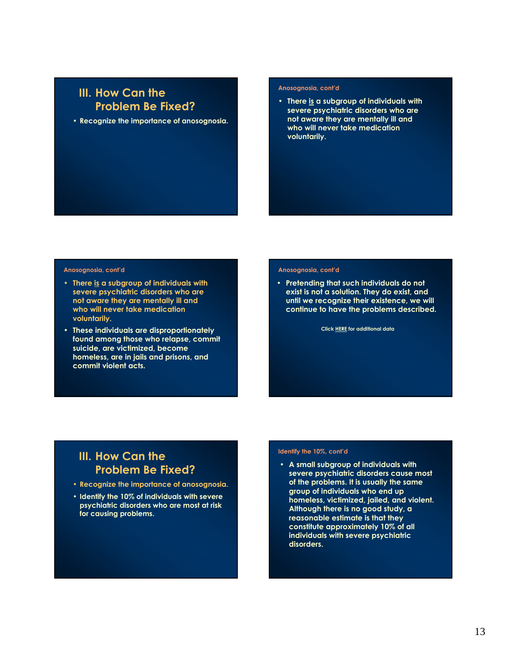### **III. How Can the Problem Be Fixed?**

• **Recognize the importance of anosognosia.**

#### **Anosognosia, cont'd**

• **There is a subgroup of individuals with severe psychiatric disorders who are not aware they are mentally ill and who will never take medication voluntarily.**

#### **Anosognosia, cont'd**

- **There is a subgroup of individuals with severe psychiatric disorders who are not aware they are mentally ill and who will never take medication voluntarily.**
- **These individuals are disproportionately found among those who relapse, commit suicide, are victimized, become homeless, are in jails and prisons, and commit violent acts.**

#### **Anosognosia, cont'd**

• **Pretending that such individuals do not exist is not a solution. They do exist, and until we recognize their existence, we will continue to have the problems described.**

**Click [HERE](http://www.psychlaws.org/BriefingPapers/BP14.htm) for additional data**

## **III. How Can the Problem Be Fixed?**

- **Recognize the importance of anosognosia.**
- **Identify the 10% of individuals with severe psychiatric disorders who are most at risk for causing problems.**

#### **Identify the 10%, cont'd**

• **A small subgroup of individuals with severe psychiatric disorders cause most of the problems. It is usually the same group of individuals who end up homeless, victimized, jailed, and violent. Although there is no good study, a reasonable estimate is that they constitute approximately 10% of all individuals with severe psychiatric disorders.**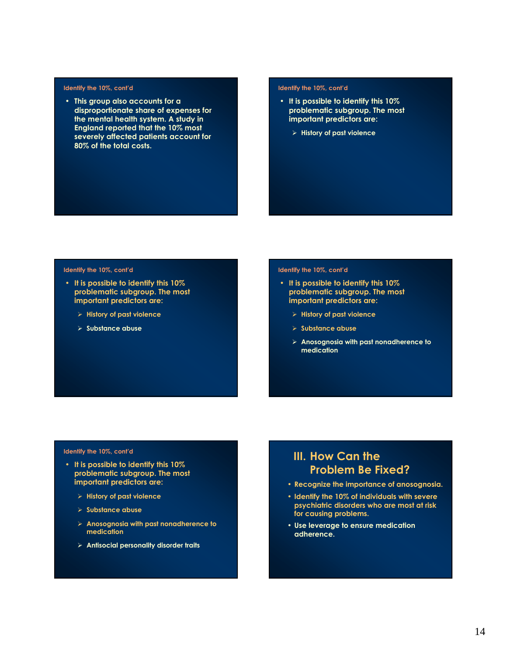#### **Identify the 10%, cont'd**

• **This group also accounts for a disproportionate share of expenses for the mental health system. A study in England reported that the 10% most severely affected patients account for 80% of the total costs.**

#### **Identify the 10%, cont'd**

- **It is possible to identify this 10% problematic subgroup. The most important predictors are:**
	- ¾ **History of past violence**

#### **Identify the 10%, cont'd**

- **It is possible to identify this 10% problematic subgroup. The most important predictors are:**
	- ¾ **History of past violence**
	- ¾ **Substance abuse**

#### **Identify the 10%, cont'd**

- **It is possible to identify this 10% problematic subgroup. The most important predictors are:**
	- ¾ **History of past violence**
	- ¾ **Substance abuse**
	- ¾ **Anosognosia with past nonadherence to medication**

#### **Identify the 10%, cont'd**

- **It is possible to identify this 10% problematic subgroup. The most important predictors are:**
	- ¾ **History of past violence**
	- ¾ **Substance abuse**
	- ¾ **Anosognosia with past nonadherence to medication**
	- ¾ **Antisocial personality disorder traits**

### **III. How Can the Problem Be Fixed?**

- **Recognize the importance of anosognosia.**
- **Identify the 10% of individuals with severe psychiatric disorders who are most at risk for causing problems.**
- **Use leverage to ensure medication adherence.**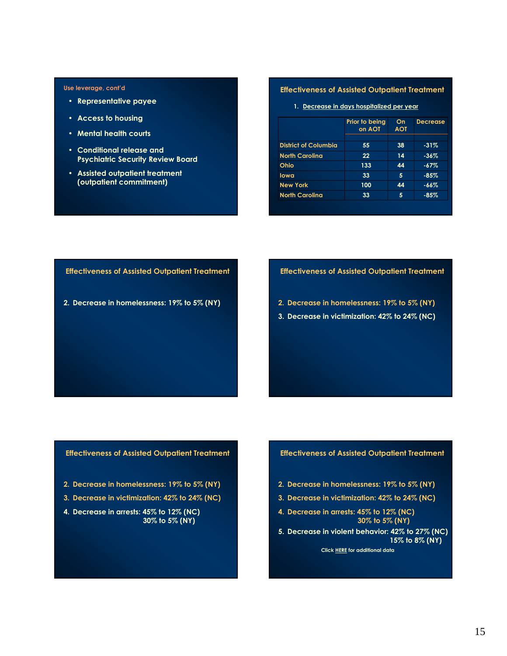#### **Use leverage, cont'd**

- **Representative payee**
- **Access to housing**
- **Mental health courts**
- **Conditional release and Psychiatric Security Review Board**
- **Assisted outpatient treatment (outpatient commitment)**

#### **Effectiveness of Assisted Outpatient Treatment**

**1. Decrease in days hospitalized per year**

|                             | Prior to being<br>on AOT | On<br><b>AOT</b> | <b>Decrease</b> |
|-----------------------------|--------------------------|------------------|-----------------|
| <b>District of Columbia</b> | 55                       | 38               | $-31\%$         |
| <b>North Carolina</b>       | 22                       | 14               | $-36\%$         |
| Ohio                        | 133                      | 44               | $-67%$          |
| lowa                        | 33                       | 5                | $-85%$          |
| <b>New York</b>             | 100                      | 44               | $-66%$          |
| <b>North Carolina</b>       | 33                       | 5                | $-85%$          |

**Effectiveness of Assisted Outpatient Treatment**

**2. Decrease in homelessness: 19% to 5% (NY)**

#### **Effectiveness of Assisted Outpatient Treatment**

- **2. Decrease in homelessness: 19% to 5% (NY)**
- **3. Decrease in victimization: 42% to 24% (NC)**

#### **Effectiveness of Assisted Outpatient Treatment**

- **2. Decrease in homelessness: 19% to 5% (NY)**
- **3. Decrease in victimization: 42% to 24% (NC)**
- **4. Decrease in arrests: 45% to 12% (NC) 30% to 5% (NY)**

#### **Effectiveness of Assisted Outpatient Treatment**

- **2. Decrease in homelessness: 19% to 5% (NY)**
- **3. Decrease in victimization: 42% to 24% (NC)**
- **4. Decrease in arrests: 45% to 12% (NC) 30% to 5% (NY)**

**5. Decrease in violent behavior: 42% to 27% (NC) 15% to 8% (NY) Click [HERE](http://www.psychlaws.org/BriefingPapers/BP18.htm) for additional data**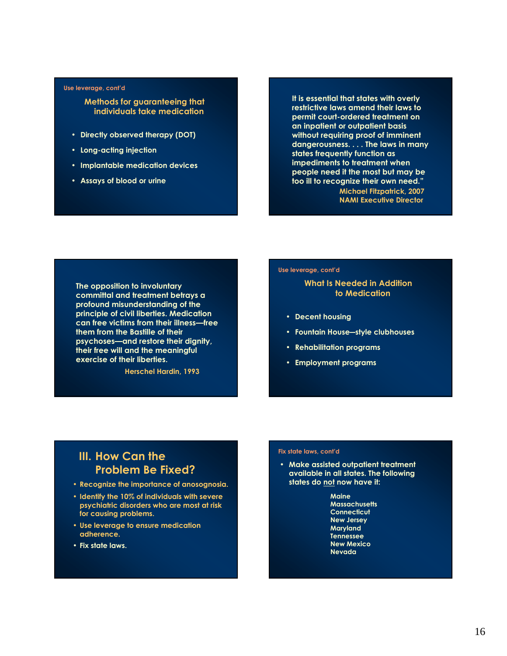#### **Use leverage, cont'd**

#### **Methods for guaranteeing that individuals take medication**

- **Directly observed therapy (DOT)**
- **Long-acting injection**
- **Implantable medication devices**
- **Assays of blood or urine**

**It is essential that states with overly restrictive laws amend their laws to permit court-ordered treatment on an inpatient or outpatient basis without requiring proof of imminent dangerousness. . . . The laws in many states frequently function as impediments to treatment when people need it the most but may be too ill to recognize their own need." Michael Fitzpatrick, 2007 NAMI Executive Director**

**The opposition to involuntary committal and treatment betrays a profound misunderstanding of the principle of civil liberties. Medication can free victims from their illness—free them from the Bastille of their psychoses—and restore their dignity, their free will and the meaningful exercise of their liberties.**

**Herschel Hardin, 1993**

#### **Use leverage, cont'd**

### **What Is Needed in Addition to Medication**

- **Decent housing**
- **Fountain House―style clubhouses**
- **Rehabilitation programs**
- **Employment programs**

### **III. How Can the Problem Be Fixed?**

- **Recognize the importance of anosognosia.**
- **Identify the 10% of individuals with severe psychiatric disorders who are most at risk for causing problems.**
- **Use leverage to ensure medication adherence.**
- **Fix state laws.**

#### **Fix state laws, cont'd**

• **Make assisted outpatient treatment available in all states. The following states do not now have it:**

> **Maine Massachusetts Connecticut New Jersey Maryland Tennessee New Mexico Nevada**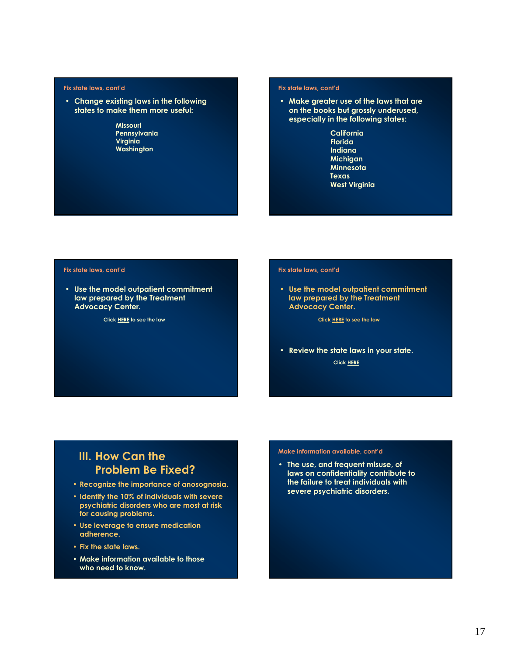#### **Fix state laws, cont'd**

- **Change existing laws in the following states to make them more useful:**
	- **Missouri Pennsylvania Virginia Washington**

#### **Fix state laws, cont'd**

- **Make greater use of the laws that are on the books but grossly underused, especially in the following states:**
	- **California Florida Indiana Michigan Minnesota Texas West Virginia**

#### **Fix state laws, cont'd**

• **Use the model outpatient commitment law prepared by the Treatment Advocacy Center.**

**Click [HERE](http://www.psychlaws.org/LegalResources/ModelLaw.htm) to see the law**

#### **Fix state laws, cont'd**

• **Use the model outpatient commitment law prepared by the Treatment Advocacy Center.**

**Click [HERE](http://www.psychlaws.org/LegalResources/ModelLaw.htm) to see the law**

• **Review the state laws in your state.**

**Click [HERE](http://www.psychlaws.org/LegalResources/index.htm)**

### **III. How Can the Problem Be Fixed?**

- **Recognize the importance of anosognosia.**
- **Identify the 10% of individuals with severe psychiatric disorders who are most at risk for causing problems.**
- **Use leverage to ensure medication adherence.**
- **Fix the state laws.**
- **Make information available to those who need to know.**

#### **Make information available, cont'd**

• **The use, and frequent misuse, of laws on confidentiality contribute to the failure to treat individuals with severe psychiatric disorders.**